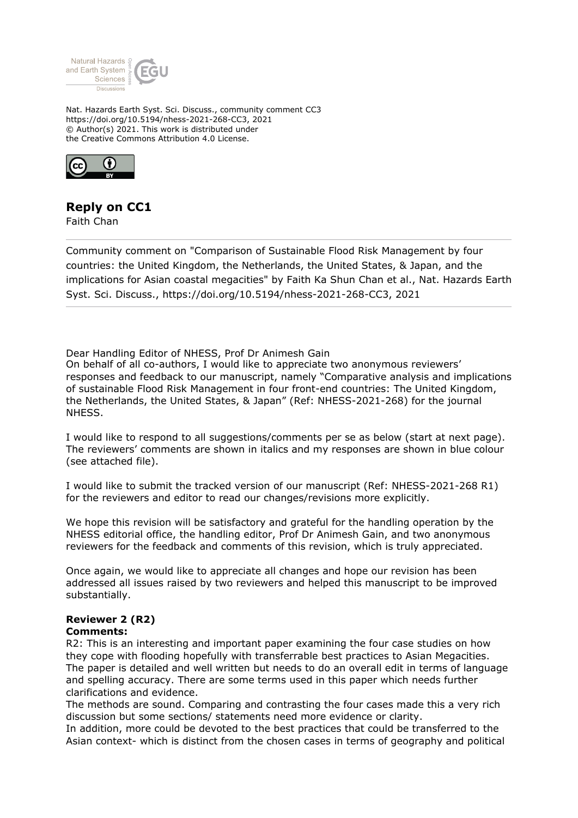

Nat. Hazards Earth Syst. Sci. Discuss., community comment CC3 https://doi.org/10.5194/nhess-2021-268-CC3, 2021 © Author(s) 2021. This work is distributed under the Creative Commons Attribution 4.0 License.



## **Reply on CC1**

Faith Chan

Community comment on "Comparison of Sustainable Flood Risk Management by four countries: the United Kingdom, the Netherlands, the United States, & Japan, and the implications for Asian coastal megacities" by Faith Ka Shun Chan et al., Nat. Hazards Earth Syst. Sci. Discuss., https://doi.org/10.5194/nhess-2021-268-CC3, 2021

Dear Handling Editor of NHESS, Prof Dr Animesh Gain

On behalf of all co-authors, I would like to appreciate two anonymous reviewers' responses and feedback to our manuscript, namely "Comparative analysis and implications of sustainable Flood Risk Management in four front-end countries: The United Kingdom, the Netherlands, the United States, & Japan" (Ref: NHESS-2021-268) for the journal NHESS.

I would like to respond to all suggestions/comments per se as below (start at next page). The reviewers' comments are shown in italics and my responses are shown in blue colour (see attached file).

I would like to submit the tracked version of our manuscript (Ref: NHESS-2021-268 R1) for the reviewers and editor to read our changes/revisions more explicitly.

We hope this revision will be satisfactory and grateful for the handling operation by the NHESS editorial office, the handling editor, Prof Dr Animesh Gain, and two anonymous reviewers for the feedback and comments of this revision, which is truly appreciated.

Once again, we would like to appreciate all changes and hope our revision has been addressed all issues raised by two reviewers and helped this manuscript to be improved substantially.

## **Reviewer 2 (R2)**

## **Comments:**

R2: This is an interesting and important paper examining the four case studies on how they cope with flooding hopefully with transferrable best practices to Asian Megacities. The paper is detailed and well written but needs to do an overall edit in terms of language and spelling accuracy. There are some terms used in this paper which needs further clarifications and evidence.

The methods are sound. Comparing and contrasting the four cases made this a very rich discussion but some sections/ statements need more evidence or clarity.

In addition, more could be devoted to the best practices that could be transferred to the Asian context- which is distinct from the chosen cases in terms of geography and political